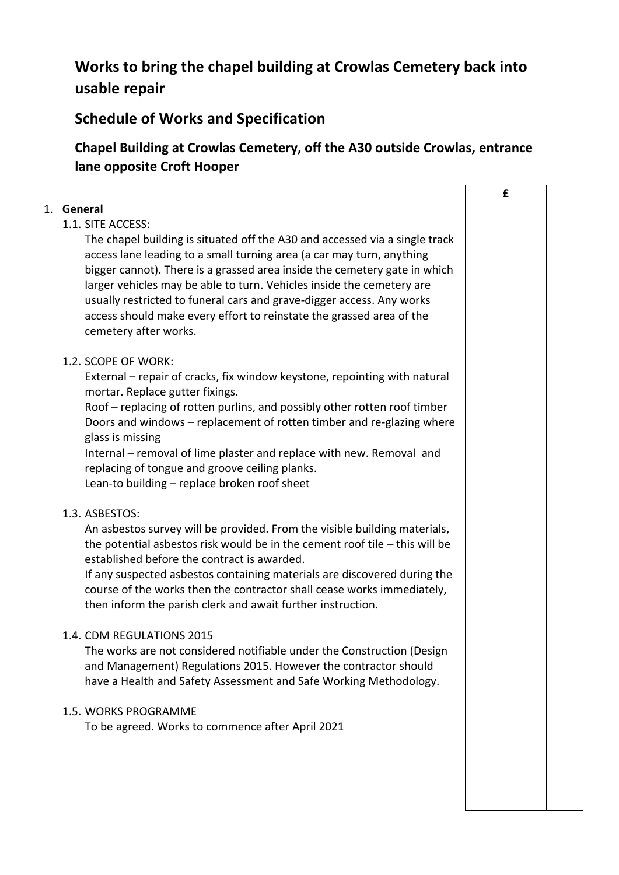# **Works to bring the chapel building at Crowlas Cemetery back into usable repair**

## **Schedule of Works and Specification**

## **Chapel Building at Crowlas Cemetery, off the A30 outside Crowlas, entrance lane opposite Croft Hooper**

|                                                                               | £ |  |
|-------------------------------------------------------------------------------|---|--|
| 1. General                                                                    |   |  |
| 1.1. SITE ACCESS:                                                             |   |  |
| The chapel building is situated off the A30 and accessed via a single track   |   |  |
| access lane leading to a small turning area (a car may turn, anything         |   |  |
| bigger cannot). There is a grassed area inside the cemetery gate in which     |   |  |
| larger vehicles may be able to turn. Vehicles inside the cemetery are         |   |  |
| usually restricted to funeral cars and grave-digger access. Any works         |   |  |
| access should make every effort to reinstate the grassed area of the          |   |  |
| cemetery after works.                                                         |   |  |
| 1.2. SCOPE OF WORK:                                                           |   |  |
| External - repair of cracks, fix window keystone, repointing with natural     |   |  |
| mortar. Replace gutter fixings.                                               |   |  |
| Roof - replacing of rotten purlins, and possibly other rotten roof timber     |   |  |
| Doors and windows - replacement of rotten timber and re-glazing where         |   |  |
| glass is missing                                                              |   |  |
| Internal – removal of lime plaster and replace with new. Removal and          |   |  |
| replacing of tongue and groove ceiling planks.                                |   |  |
| Lean-to building - replace broken roof sheet                                  |   |  |
| 1.3. ASBESTOS:                                                                |   |  |
| An asbestos survey will be provided. From the visible building materials,     |   |  |
| the potential asbestos risk would be in the cement roof tile $-$ this will be |   |  |
| established before the contract is awarded.                                   |   |  |
| If any suspected asbestos containing materials are discovered during the      |   |  |
| course of the works then the contractor shall cease works immediately,        |   |  |
| then inform the parish clerk and await further instruction.                   |   |  |
| 1.4. CDM REGULATIONS 2015                                                     |   |  |
| The works are not considered notifiable under the Construction (Design        |   |  |
| and Management) Regulations 2015. However the contractor should               |   |  |
| have a Health and Safety Assessment and Safe Working Methodology.             |   |  |
| 1.5. WORKS PROGRAMME                                                          |   |  |
| To be agreed. Works to commence after April 2021                              |   |  |
|                                                                               |   |  |
|                                                                               |   |  |
|                                                                               |   |  |
|                                                                               |   |  |
|                                                                               |   |  |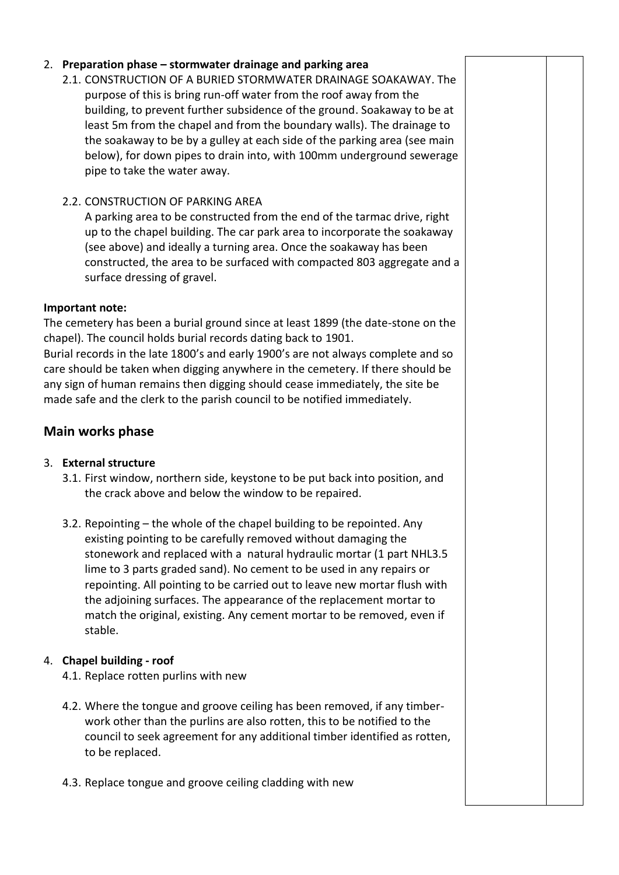#### 2. **Preparation phase – stormwater drainage and parking area**

- 2.1. CONSTRUCTION OF A BURIED STORMWATER DRAINAGE SOAKAWAY. The purpose of this is bring run-off water from the roof away from the building, to prevent further subsidence of the ground. Soakaway to be at least 5m from the chapel and from the boundary walls). The drainage to the soakaway to be by a gulley at each side of the parking area (see main below), for down pipes to drain into, with 100mm underground sewerage pipe to take the water away.
- 2.2. CONSTRUCTION OF PARKING AREA

A parking area to be constructed from the end of the tarmac drive, right up to the chapel building. The car park area to incorporate the soakaway (see above) and ideally a turning area. Once the soakaway has been constructed, the area to be surfaced with compacted 803 aggregate and a surface dressing of gravel.

#### **Important note:**

The cemetery has been a burial ground since at least 1899 (the date-stone on the chapel). The council holds burial records dating back to 1901. Burial records in the late 1800's and early 1900's are not always complete and so care should be taken when digging anywhere in the cemetery. If there should be any sign of human remains then digging should cease immediately, the site be made safe and the clerk to the parish council to be notified immediately.

### **Main works phase**

#### 3. **External structure**

- 3.1. First window, northern side, keystone to be put back into position, and the crack above and below the window to be repaired.
- 3.2. Repointing the whole of the chapel building to be repointed. Any existing pointing to be carefully removed without damaging the stonework and replaced with a natural hydraulic mortar (1 part NHL3.5 lime to 3 parts graded sand). No cement to be used in any repairs or repointing. All pointing to be carried out to leave new mortar flush with the adjoining surfaces. The appearance of the replacement mortar to match the original, existing. Any cement mortar to be removed, even if stable.

#### 4. **Chapel building - roof**

- 4.1. Replace rotten purlins with new
- 4.2. Where the tongue and groove ceiling has been removed, if any timberwork other than the purlins are also rotten, this to be notified to the council to seek agreement for any additional timber identified as rotten, to be replaced.
- 4.3. Replace tongue and groove ceiling cladding with new